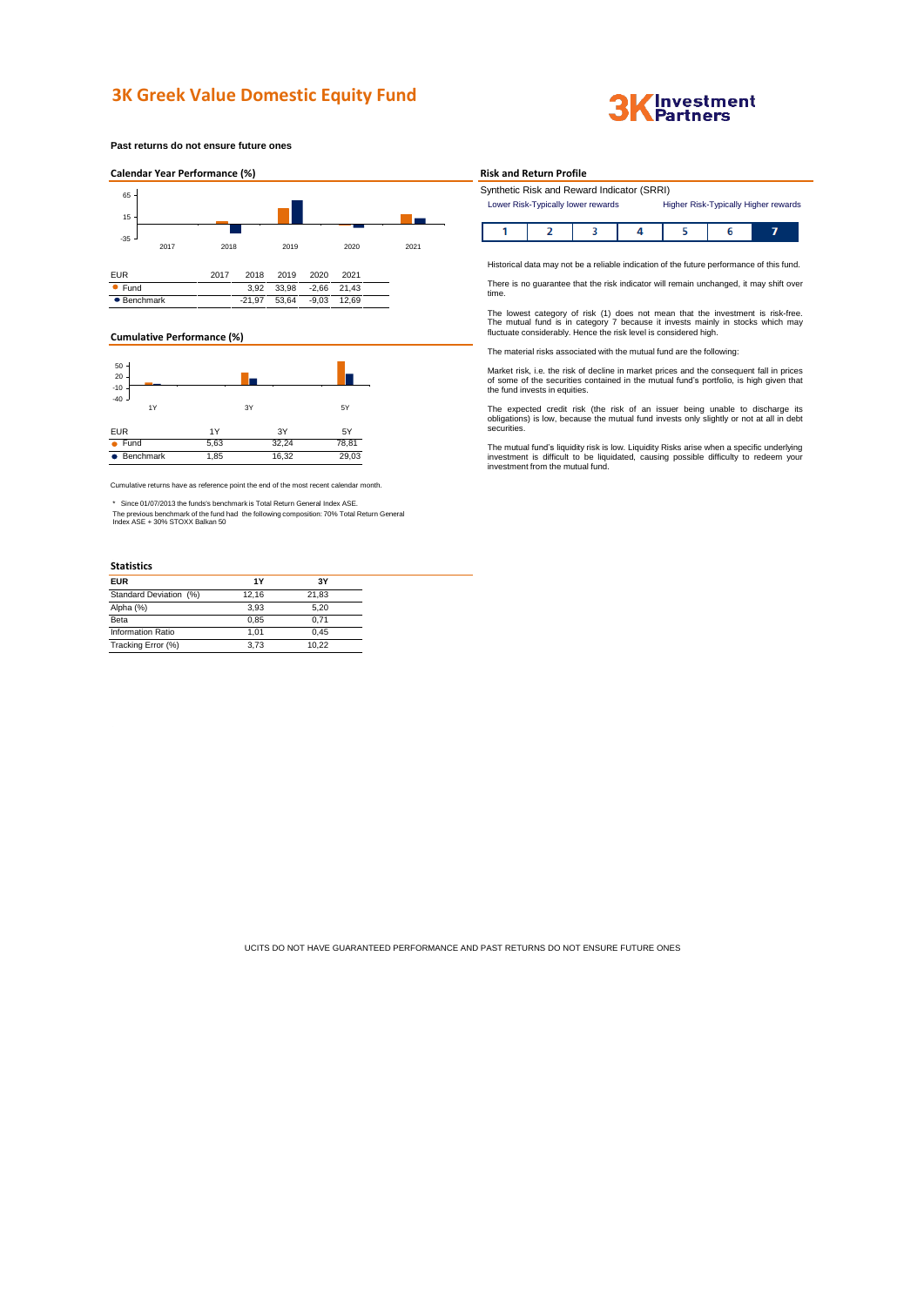# **3K Greek Value Domestic Equity Fund**



**Past returns do not ensure future ones**



### **Cumulative Performance (%)**



Cumulative returns have as reference point the end of the most recent calendar month.

\* Since 01/07/2013 the funds's benchmark is Total Return General Index ASE.

The previous benchmark of the fund had the following composition: 70% Total Return General Index ASE + 30% STOXX Balkan 50

### **Statistics**

| <b>EUR</b>               | 1Y    | 3Υ    |
|--------------------------|-------|-------|
| Standard Deviation (%)   | 12.16 | 21.83 |
| Alpha (%)                | 3.93  | 5,20  |
| Beta                     | 0.85  | 0.71  |
| <b>Information Ratio</b> | 1.01  | 0.45  |
| Tracking Error (%)       | 3.73  | 10.22 |

### **Risk and Return Profile**

I

| Synthetic Risk and Reward Indicator (SRRI) |                                      |
|--------------------------------------------|--------------------------------------|
| Lower Risk-Typically lower rewards         | Higher Risk-Typically Higher rewards |

Historical data may not be a reliable indication of the future performance of this fund.

There is no guarantee that the risk indicator will remain unchanged, it may shift over time.

The lowest category of risk (1) does not mean that the investment is risk-free.<br>The mutual fund is in category 7 because it invests mainly in stocks which may<br>fluctuate considerably. Hence the risk level is considered high

The material risks associated with the mutual fund are the following:

Market risk, i.e. the risk of decline in market prices and the consequent fall in prices of some of the securities contained in the mutual fund's portfolio, is high given that the fund invests in equities.

The expected credit risk (the risk of an issuer being unable to discharge its obligations) is low, because the mutual fund invests only slightly or not at all in debt securities.

The mutual fund's liquidity risk is low. Liquidity Risks arise when a specific underlying<br>investment is difficult to be liquidated, causing possible difficulty to redeem your<br>investment from the mutual fund.

UCITS DO NOT HAVE GUARANTEED PERFORMANCE AND PAST RETURNS DO NOT ENSURE FUTURE ONES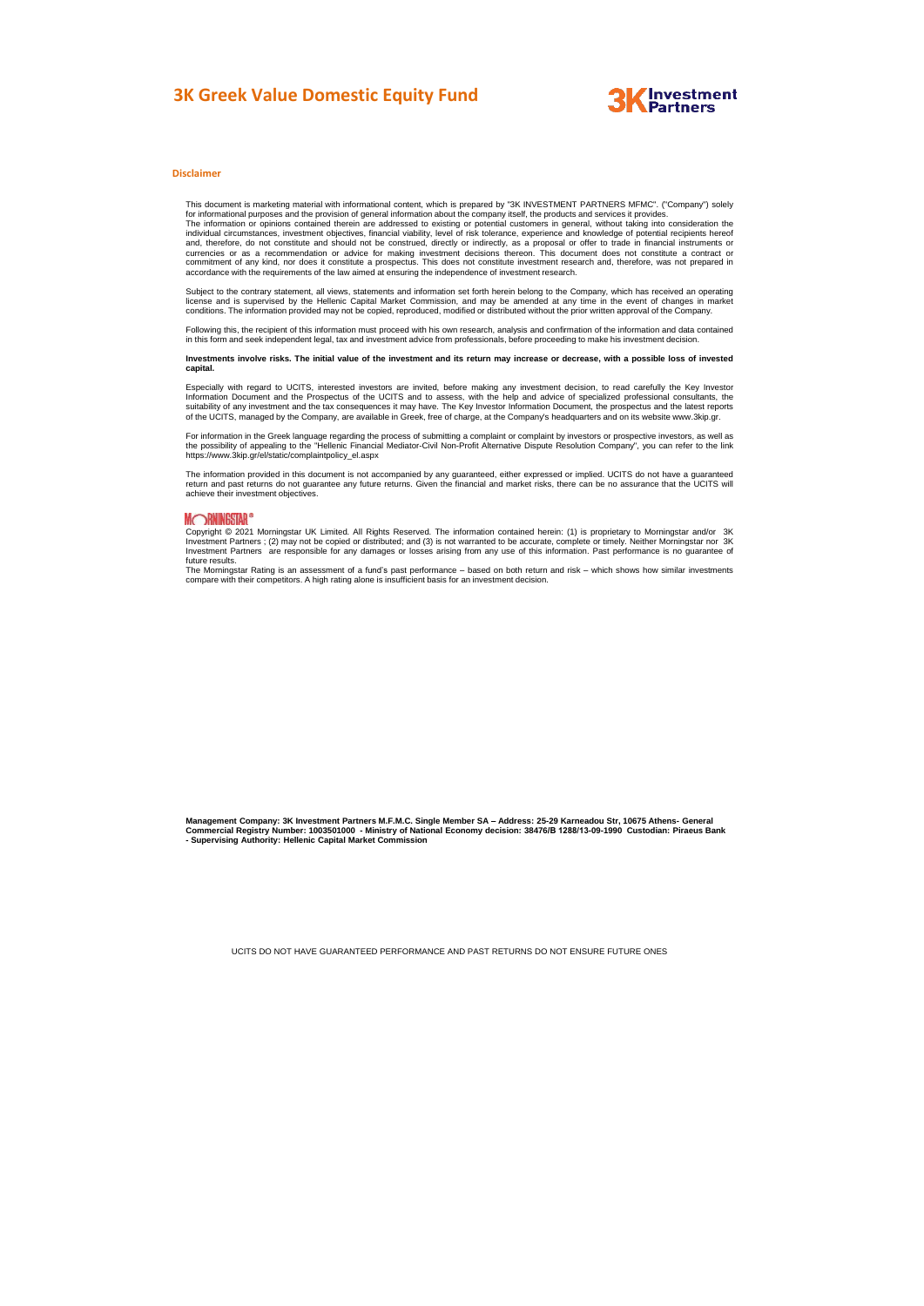## **3K Greek Value Domestic Equity Fund**



#### **Disclaimer**

This document is marketing material with informational content, which is prepared by "3K INVESTMENT PARTNERS MFMC". ("Company") solely<br>for informational purposes and the provision of general information about the company i

Subject to the contrary statement, all views, statements and information set forth herein belong to the Company, which has received an operating license and is supervised by the Hellenic Capital Market Commission, and may be amended at any time in the event of changes in market<br>conditions. The information provided may not be copied, reproduced, modified or distribu

Following this, the recipient of this information must proceed with his own research, analysis and confirmation of the information and data contained<br>in this form and seek independent legal, tax and investment advice from

Investments involve risks. The initial value of the investment and its return may increase or decrease, with a possible loss of invested **capital.**

Especially with regard to UCITS, interested investors are invited, before making any investment decision, to read carefully the Key Investor Information Document and the Prospectus of the UCITS and to assess, with the help and advice of specialized professional consultants, the<br>suitability of any investment and the tax consequences it may have. The Key Investor

For information in the Greek language regarding the process of submitting a complaint or complaint by investors or prospective investors, as well as the possibility of appealing to the "Hellenic Financial Mediator-Civil Non-Profit Alternative Dispute Resolution Company", you can refer to the link https://www.3kip.gr/el/static/complaintpolicy\_el.aspx

The information provided in this document is not accompanied by any guaranteed, either expressed or implied. UCITS do not have a guaranteed<br>return and past returns do not guarantee any future returns. Given the financial a achieve their investment objectives.

### **MORNINGSTAR®**

Copyright © 2021 Morningstar UK Limited. All Rights Reserved. The information contained herein: (1) is proprietary to Morningstar and/or 3K Investment Partners ; (2) may not be copied or distributed; and (3) is not warranted to be accurate, complete or timely. Neither Morningstar nor 3K<br>Investment Partners are responsible for any damages or losses arising from Investment Factors and Level<br>future results.<br>The Morningstar Rating is an as

The Morningstar Rating is an assessment of a fund's past performance – based on both return and risk – which shows how similar investments<br>compare with their competitors. A high rating alone is insufficient basis for an in

Management Company: 3K Investment Partners M.F.M.C. Single Member SA – Address: 25-29 Karneadou Str, 10675 Athens- General<br>Commercial Registry Number: 1003501000 - Ministry of National Economy decision: 38476/B 1288/13-09-

UCITS DO NOT HAVE GUARANTEED PERFORMANCE AND PAST RETURNS DO NOT ENSURE FUTURE ONES